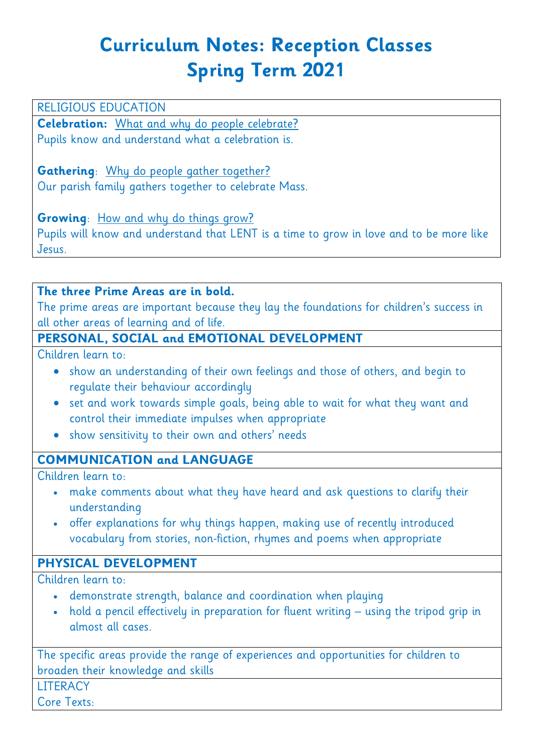# **Curriculum Notes: Reception Classes Spring Term 2021**

#### RELIGIOUS EDUCATION

**Celebration:** What and why do people celebrate? Pupils know and understand what a celebration is.

**Gathering**: Why do people gather together? Our parish family gathers together to celebrate Mass.

**Growing:** How and why do things grow?

Pupils will know and understand that LENT is a time to grow in love and to be more like Jesus.

#### **The three Prime Areas are in bold.**

The prime areas are important because they lay the foundations for children's success in all other areas of learning and of life.

# **PERSONAL, SOCIAL and EMOTIONAL DEVELOPMENT**

Children learn to:

- show an understanding of their own feelings and those of others, and begin to regulate their behaviour accordingly
- set and work towards simple goals, being able to wait for what they want and control their immediate impulses when appropriate
- show sensitivity to their own and others' needs

#### **COMMUNICATION and LANGUAGE**

Children learn to:

- make comments about what they have heard and ask questions to clarify their understanding
- offer explanations for why things happen, making use of recently introduced vocabulary from stories, non-fiction, rhymes and poems when appropriate

#### **PHYSICAL DEVELOPMENT**

Children learn to:

- demonstrate strength, balance and coordination when playing
- hold a pencil effectively in preparation for fluent writing using the tripod grip in almost all cases.

The specific areas provide the range of experiences and opportunities for children to broaden their knowledge and skills

**LITERACY** 

Core Texts: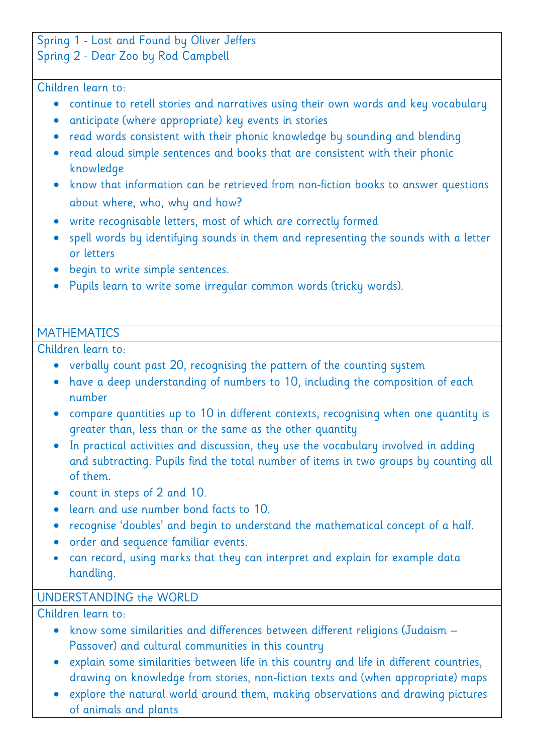# Spring 1 - Lost and Found by Oliver Jeffers

#### Spring 2 - Dear Zoo by Rod Campbell

#### Children learn to:

- continue to retell stories and narratives using their own words and key vocabulary
- anticipate (where appropriate) key events in stories
- read words consistent with their phonic knowledge by sounding and blending
- read aloud simple sentences and books that are consistent with their phonic knowledge
- know that information can be retrieved from non-fiction books to answer questions about where, who, why and how?
- write recognisable letters, most of which are correctly formed
- spell words by identifying sounds in them and representing the sounds with a letter or letters
- begin to write simple sentences.
- Pupils learn to write some irregular common words (tricky words).

### **MATHEMATICS**

Children learn to:

- verbally count past 20, recognising the pattern of the counting system
- have a deep understanding of numbers to 10, including the composition of each number
- compare quantities up to 10 in different contexts, recognising when one quantity is greater than, less than or the same as the other quantity
- In practical activities and discussion, they use the vocabulary involved in adding and subtracting. Pupils find the total number of items in two groups by counting all of them.
- count in steps of 2 and 10.
- learn and use number bond facts to 10.
- recognise 'doubles' and begin to understand the mathematical concept of a half.
- order and sequence familiar events.
- can record, using marks that they can interpret and explain for example data handling.

# UNDERSTANDING the WORLD

Children learn to:

- know some similarities and differences between different religions (Judaism Passover) and cultural communities in this country
- explain some similarities between life in this country and life in different countries, drawing on knowledge from stories, non-fiction texts and (when appropriate) maps
- explore the natural world around them, making observations and drawing pictures of animals and plants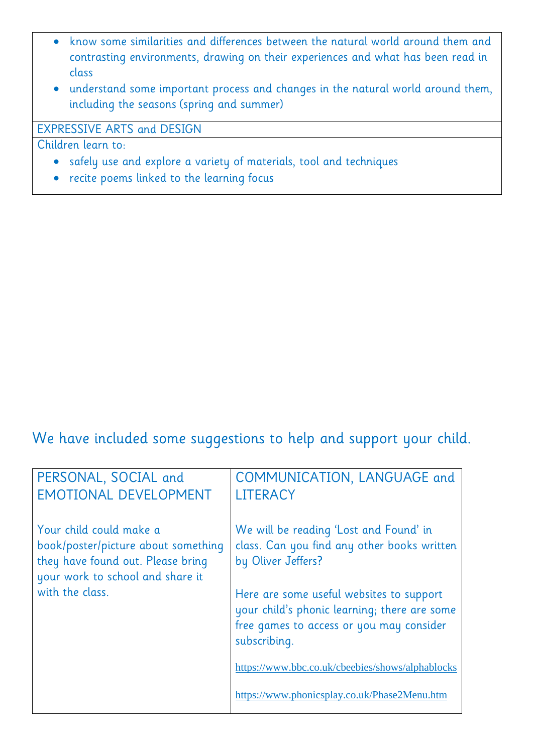- know some similarities and differences between the natural world around them and contrasting environments, drawing on their experiences and what has been read in class
- understand some important process and changes in the natural world around them, including the seasons (spring and summer)

### EXPRESSIVE ARTS and DESIGN

Children learn to:

- safely use and explore a variety of materials, tool and techniques
- recite poems linked to the learning focus

# We have included some suggestions to help and support your child.

| PERSONAL, SOCIAL and<br><b>EMOTIONAL DEVELOPMENT</b>                                                                                    | COMMUNICATION, LANGUAGE and<br><b>LITERACY</b>                                                                                                       |
|-----------------------------------------------------------------------------------------------------------------------------------------|------------------------------------------------------------------------------------------------------------------------------------------------------|
| Your child could make a<br>book/poster/picture about something<br>they have found out. Please bring<br>your work to school and share it | We will be reading 'Lost and Found' in<br>class. Can you find any other books written<br>by Oliver Jeffers?                                          |
| with the class.                                                                                                                         | Here are some useful websites to support<br>your child's phonic learning; there are some<br>free games to access or you may consider<br>subscribing. |
|                                                                                                                                         | https://www.bbc.co.uk/cbeebies/shows/alphablocks                                                                                                     |
|                                                                                                                                         | https://www.phonicsplay.co.uk/Phase2Menu.htm                                                                                                         |